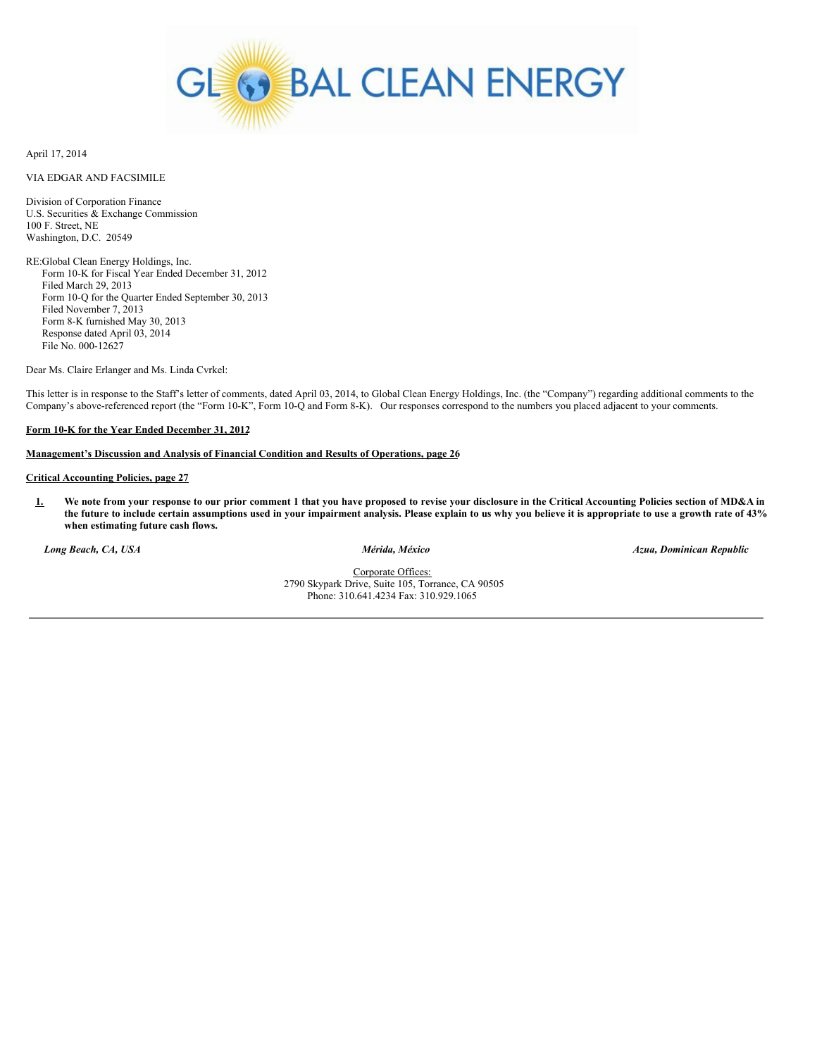

April 17, 2014

# VIA EDGAR AND FACSIMILE

Division of Corporation Finance U.S. Securities & Exchange Commission 100 F. Street, NE Washington, D.C. 20549

RE:Global Clean Energy Holdings, Inc. Form 10-K for Fiscal Year Ended December 31, 2012 Filed March 29, 2013 Form 10-Q for the Quarter Ended September 30, 2013 Filed November 7, 2013 Form 8-K furnished May 30, 2013 Response dated April 03, 2014 File No. 000-12627

Dear Ms. Claire Erlanger and Ms. Linda Cvrkel:

This letter is in response to the Staff's letter of comments, dated April 03, 2014, to Global Clean Energy Holdings, Inc. (the "Company") regarding additional comments to the Company's above-referenced report (the "Form 10-K", Form 10-Q and Form 8-K). Our responses correspond to the numbers you placed adjacent to your comments.

# **Form 10-K for the Year Ended December 31, 2012**

# **Management's Discussion and Analysis of Financial Condition and Results of Operations, page 26**

## **Critical Accounting Policies, page 27**

1. We note from your response to our prior comment 1 that you have proposed to revise your disclosure in the Critical Accounting Policies section of MD&A in the future to include certain assumptions used in your impairment analysis. Please explain to us why you believe it is appropriate to use a growth rate of 43% **when estimating future cash flows.**

*Long Beach, CA, USA Mérida, México Azua, Dominican Republic*

Corporate Offices: 2790 Skypark Drive, Suite 105, Torrance, CA 90505 Phone: 310.641.4234 Fax: 310.929.1065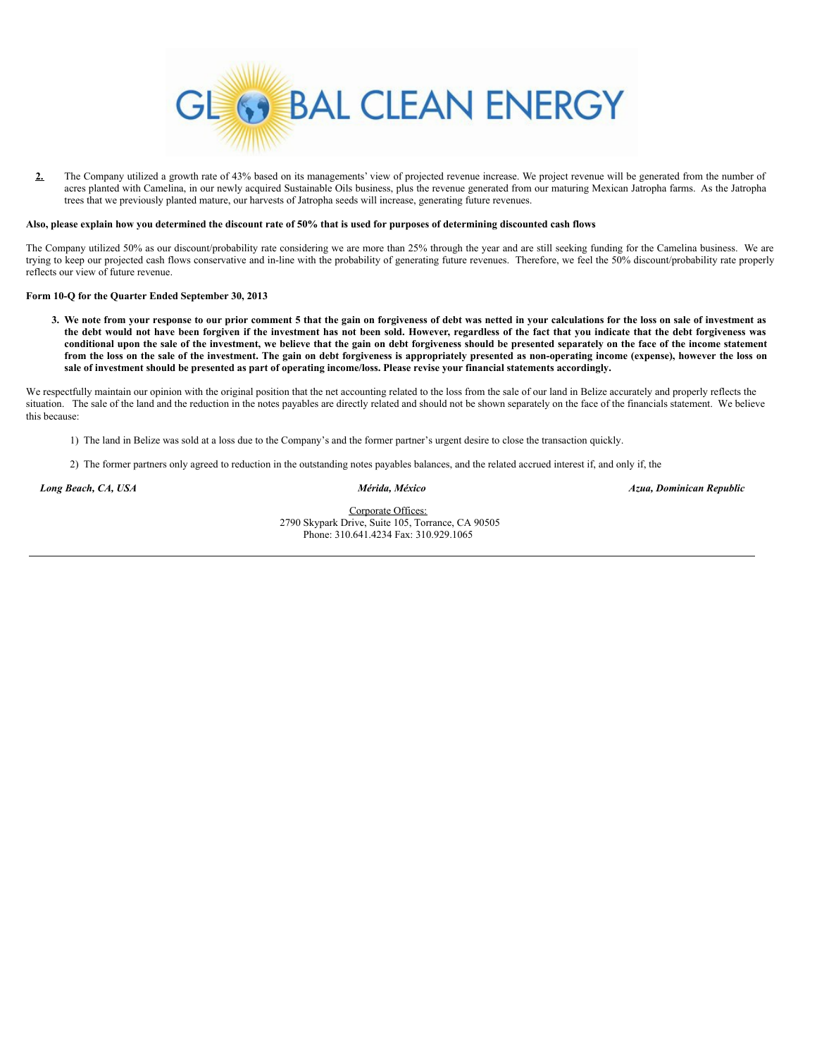

2. The Company utilized a growth rate of 43% based on its managements' view of projected revenue increase. We project revenue will be generated from the number of acres planted with Camelina, in our newly acquired Sustainable Oils business, plus the revenue generated from our maturing Mexican Jatropha farms. As the Jatropha trees that we previously planted mature, our harvests of Jatropha seeds will increase, generating future revenues.

#### Also, please explain how you determined the discount rate of 50% that is used for purposes of determining discounted cash flows

The Company utilized 50% as our discount/probability rate considering we are more than 25% through the year and are still seeking funding for the Camelina business. We are trying to keep our projected cash flows conservative and in-line with the probability of generating future revenues. Therefore, we feel the 50% discount/probability rate properly reflects our view of future revenue.

# **Form 10-Q for the Quarter Ended September 30, 2013**

3. We note from your response to our prior comment 5 that the gain on forgiveness of debt was netted in your calculations for the loss on sale of investment as the debt would not have been forgiven if the investment has not been sold. However, regardless of the fact that you indicate that the debt forgiveness was conditional upon the sale of the investment, we believe that the gain on debt forgiveness should be presented separately on the face of the income statement from the loss on the sale of the investment. The gain on debt forgiveness is appropriately presented as non-operating income (expense), however the loss on sale of investment should be presented as part of operating income/loss. Please revise your financial statements accordingly.

We respectfully maintain our opinion with the original position that the net accounting related to the loss from the sale of our land in Belize accurately and properly reflects the situation. The sale of the land and the reduction in the notes payables are directly related and should not be shown separately on the face of the financials statement. We believe this because:

- 1) The land in Belize was sold at a loss due to the Company's and the former partner's urgent desire to close the transaction quickly.
- 2) The former partners only agreed to reduction in the outstanding notes payables balances, and the related accrued interest if, and only if, the

*Long Beach, CA, USA Mérida, México Azua, Dominican Republic*

Corporate Offices: 2790 Skypark Drive, Suite 105, Torrance, CA 90505 Phone: 310.641.4234 Fax: 310.929.1065